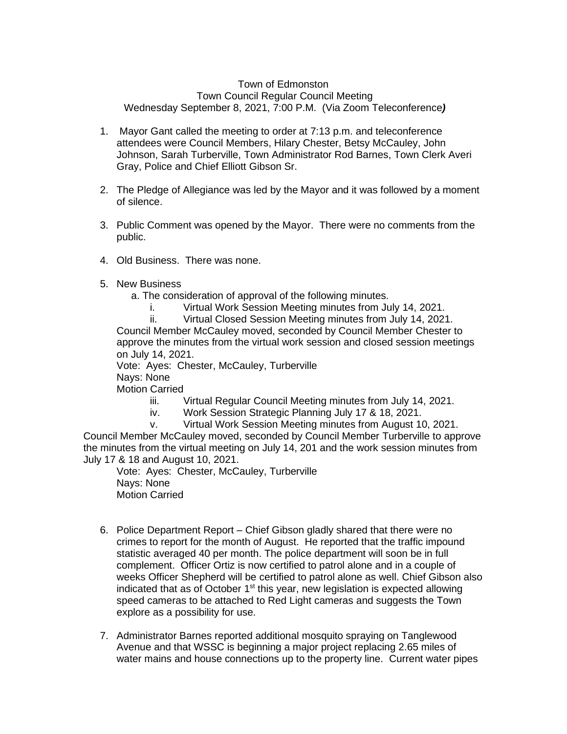## Town of Edmonston Town Council Regular Council Meeting Wednesday September 8, 2021, 7:00 P.M. (Via Zoom Teleconference*)*

- 1. Mayor Gant called the meeting to order at 7:13 p.m. and teleconference attendees were Council Members, Hilary Chester, Betsy McCauley, John Johnson, Sarah Turberville, Town Administrator Rod Barnes, Town Clerk Averi Gray, Police and Chief Elliott Gibson Sr.
- 2. The Pledge of Allegiance was led by the Mayor and it was followed by a moment of silence.
- 3. Public Comment was opened by the Mayor. There were no comments from the public.
- 4. Old Business. There was none.
- 5. New Business
	- a. The consideration of approval of the following minutes.
		- i. Virtual Work Session Meeting minutes from July 14, 2021.

ii. Virtual Closed Session Meeting minutes from July 14, 2021. Council Member McCauley moved, seconded by Council Member Chester to approve the minutes from the virtual work session and closed session meetings on July 14, 2021.

Vote: Ayes: Chester, McCauley, Turberville

Nays: None

Motion Carried

iii. Virtual Regular Council Meeting minutes from July 14, 2021.

iv. Work Session Strategic Planning July 17 & 18, 2021.

v. Virtual Work Session Meeting minutes from August 10, 2021. Council Member McCauley moved, seconded by Council Member Turberville to approve the minutes from the virtual meeting on July 14, 201 and the work session minutes from July 17 & 18 and August 10, 2021.

Vote: Ayes: Chester, McCauley, Turberville Nays: None Motion Carried

- 6. Police Department Report Chief Gibson gladly shared that there were no crimes to report for the month of August. He reported that the traffic impound statistic averaged 40 per month. The police department will soon be in full complement. Officer Ortiz is now certified to patrol alone and in a couple of weeks Officer Shepherd will be certified to patrol alone as well. Chief Gibson also indicated that as of October  $1<sup>st</sup>$  this year, new legislation is expected allowing speed cameras to be attached to Red Light cameras and suggests the Town explore as a possibility for use.
- 7. Administrator Barnes reported additional mosquito spraying on Tanglewood Avenue and that WSSC is beginning a major project replacing 2.65 miles of water mains and house connections up to the property line. Current water pipes